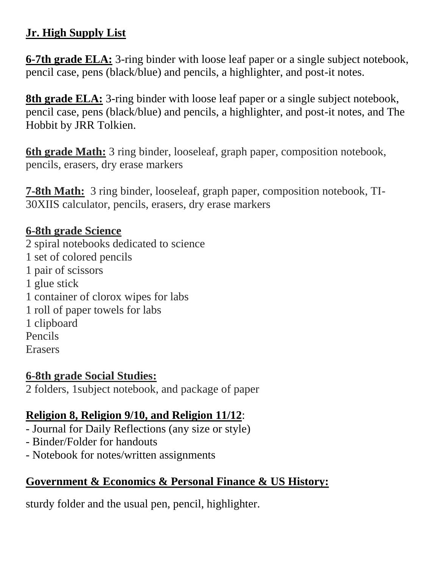### **Jr. High Supply List**

**6-7th grade ELA:** 3-ring binder with loose leaf paper or a single subject notebook, pencil case, pens (black/blue) and pencils, a highlighter, and post-it notes.

**8th grade ELA:** 3-ring binder with loose leaf paper or a single subject notebook, pencil case, pens (black/blue) and pencils, a highlighter, and post-it notes, and The Hobbit by JRR Tolkien.

**6th grade Math:** 3 ring binder, looseleaf, graph paper, composition notebook, pencils, erasers, dry erase markers

**7-8th Math:** 3 ring binder, looseleaf, graph paper, composition notebook, TI-30XIIS calculator, pencils, erasers, dry erase markers

### **6-8th grade Science**

2 spiral notebooks dedicated to science 1 set of colored pencils 1 pair of scissors 1 glue stick 1 container of clorox wipes for labs 1 roll of paper towels for labs 1 clipboard Pencils Erasers

#### **6-8th grade Social Studies:**

2 folders, 1subject notebook, and package of paper

### **Religion 8, Religion 9/10, and Religion 11/12**:

- Journal for Daily Reflections (any size or style)
- Binder/Folder for handouts
- Notebook for notes/written assignments

## **Government & Economics & Personal Finance & US History:**

sturdy folder and the usual pen, pencil, highlighter.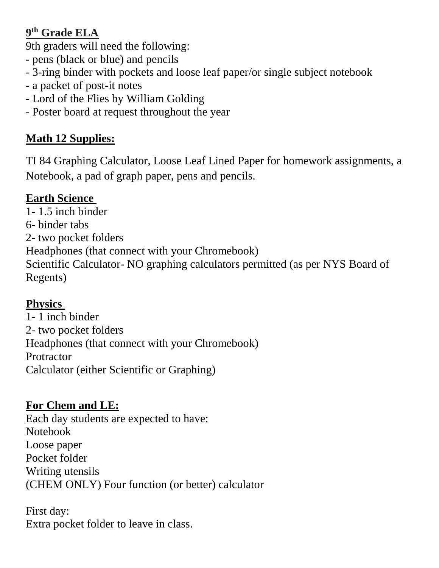### **9 th Grade ELA**

9th graders will need the following:

- pens (black or blue) and pencils
- 3-ring binder with pockets and loose leaf paper/or single subject notebook
- a packet of post-it notes
- Lord of the Flies by William Golding
- Poster board at request throughout the year

# **Math 12 Supplies:**

TI 84 Graphing Calculator, Loose Leaf Lined Paper for homework assignments, a Notebook, a pad of graph paper, pens and pencils.

## **Earth Science**

1- 1.5 inch binder 6- binder tabs 2- two pocket folders Headphones (that connect with your Chromebook) Scientific Calculator- NO graphing calculators permitted (as per NYS Board of Regents)

# **Physics**

1- 1 inch binder 2- two pocket folders Headphones (that connect with your Chromebook) **Protractor** Calculator (either Scientific or Graphing)

# **For Chem and LE:**

Each day students are expected to have: Notebook Loose paper Pocket folder Writing utensils (CHEM ONLY) Four function (or better) calculator

First day: Extra pocket folder to leave in class.